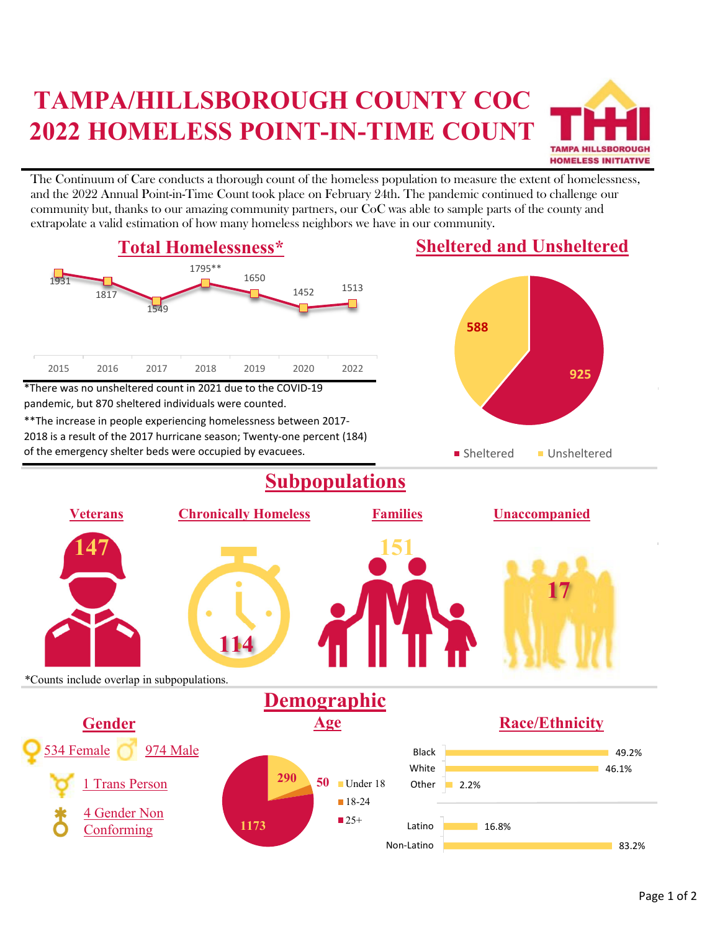## **TAMPA/HILLSBOROUGH COUNTY COC 2022 HOMELESS POINT-IN-TIME COUNT**



The Continuum of Care conducts a thorough count of the homeless population to measure the extent of homelessness, and the 2022 Annual Point-in-Time Count took place on February 24th. The pandemic continued to challenge our community but, thanks to our amazing community partners, our CoC was able to sample parts of the county and extrapolate a valid estimation of how many homeless neighbors we have in our community.